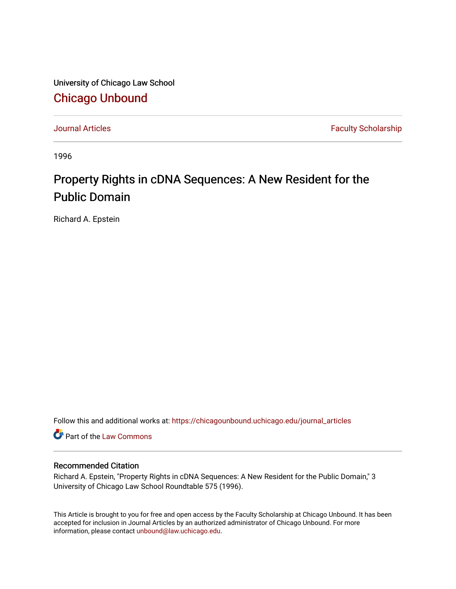University of Chicago Law School [Chicago Unbound](https://chicagounbound.uchicago.edu/)

[Journal Articles](https://chicagounbound.uchicago.edu/journal_articles) **Faculty Scholarship Faculty Scholarship** 

1996

## Property Rights in cDNA Sequences: A New Resident for the Public Domain

Richard A. Epstein

Follow this and additional works at: [https://chicagounbound.uchicago.edu/journal\\_articles](https://chicagounbound.uchicago.edu/journal_articles?utm_source=chicagounbound.uchicago.edu%2Fjournal_articles%2F1286&utm_medium=PDF&utm_campaign=PDFCoverPages) 

Part of the [Law Commons](http://network.bepress.com/hgg/discipline/578?utm_source=chicagounbound.uchicago.edu%2Fjournal_articles%2F1286&utm_medium=PDF&utm_campaign=PDFCoverPages)

### Recommended Citation

Richard A. Epstein, "Property Rights in cDNA Sequences: A New Resident for the Public Domain," 3 University of Chicago Law School Roundtable 575 (1996).

This Article is brought to you for free and open access by the Faculty Scholarship at Chicago Unbound. It has been accepted for inclusion in Journal Articles by an authorized administrator of Chicago Unbound. For more information, please contact [unbound@law.uchicago.edu](mailto:unbound@law.uchicago.edu).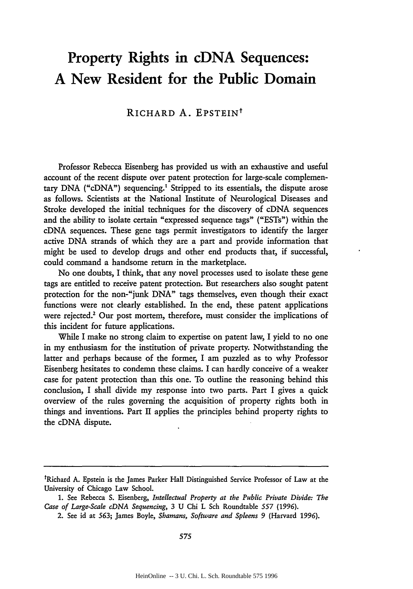# **Property Rights in cDNA Sequences: A New Resident for the Public Domain**

## RICHARD **A.** EPSTEINt

Professor Rebecca Eisenberg has provided us with an exhaustive and useful account of the recent dispute over patent protection for large-scale complementary **DNA** ("cDNA") sequencing.' Stripped to its essentials, the dispute arose as follows. Scientists at the National Institute of Neurological Diseases and Stroke developed the initial techniques for the discovery of cDNA sequences and the ability to isolate certain "expressed sequence tags" ("ESTs") within the cDNA sequences. These gene tags permit investigators to identify the larger active **DNA** strands of which they are a part and provide information that might be used to develop drugs and other end products that, if successful, could command a handsome return in the marketplace.

No one doubts, I think, that any novel processes used to isolate these gene tags are entitled to receive patent protection. But researchers also sought patent protection for the non-"junk **DNA"** tags themselves, even though their exact functions were not clearly established. In the end, these patent applications were rejected.<sup>2</sup> Our post mortem, therefore, must consider the implications of this incident for future applications.

While I make no strong claim to expertise on patent law, I yield to no one in my enthusiasm for the institution of private property. Notwithstanding the latter and perhaps because of the former, I am puzzled as to why Professor Eisenberg hesitates to condemn these claims. I can hardly conceive of a weaker case for patent protection than this one. To outline the reasoning behind this conclusion, I shall divide my response into two parts. Part I gives a quick overview of the rules governing the acquisition of property rights both in things and inventions. Part II applies the principles behind property rights to the cDNA dispute.

<sup>&</sup>lt;sup>t</sup>Richard A. Epstein is the James Parker Hall Distinguished Service Professor of Law at the University of Chicago Law School.

**<sup>1.</sup>** See Rebecca **S.** Eisenberg, *Intellectual Property at the Public Private Divide: The Case of Large-Scale cDNA Sequencing,* 3 U Chi L Sch Roundtable *557* (1996).

<sup>2.</sup> See id at 563; James Boyle, *Shamans, Software and Spleens 9* (Harvard 1996).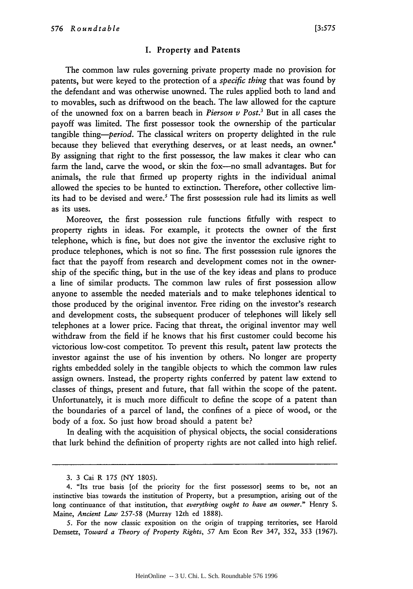#### I. Property and Patents

The common law rules governing private property made no provision for patents, but were keyed to the protection of a *specific thing* that was found by the defendant and was otherwise unowned. The rules applied both to land and to movables, such as driftwood on the beach. The law allowed for the capture of the unowned fox on a barren beach in *Pierson v Post.3* But in all cases the payoff was limited. The first possessor took the ownership of the particular tangible *thing-period.* The classical writers on property delighted in the rule because they believed that everything deserves, or at least needs, an owner.<sup>4</sup> **By** assigning that right to the first possessor, the law makes it clear who can farm the land, carve the wood, or skin the fox-no small advantages. But for animals, the rule that firmed up property rights in the individual animal allowed the species to be hunted to extinction. Therefore, other collective limits had to be devised and were.' The first possession rule had its limits as well as its uses.

Moreover, the first possession rule functions fitfully with respect to property rights in ideas. For example, it protects the owner of the first telephone, which is fine, but does not give the inventor the exclusive right to produce telephones, which is not so fine. The first possession rule ignores the fact that the payoff from research and development comes not in the ownership of the specific thing, but in the use of the key ideas and plans to produce a line of similar products. The common law rules of first possession allow anyone to assemble the needed materials and to make telephones identical to those produced **by** the original inventor. Free riding on the investor's research and development costs, the subsequent producer of telephones will likely sell telephones at a lower price. Facing that threat, the original inventor may well withdraw from the field if he knows that his first customer could become his victorious low-cost competitor. To prevent this result, patent law protects the investor against the use of his invention **by** others. No longer are property rights embedded solely in the tangible objects to which the common law rules assign owners. Instead, the property rights conferred **by** patent law extend to classes of things, present and future, that fall within the scope of the patent. Unfortunately, it is much more difficult to define the scope of a patent than the boundaries of a parcel of land, the confines of a piece of wood, or the body of a fox. So just how broad should a patent be?

In dealing with the acquisition of physical objects, the social considerations that lurk behind the definition of property rights are not called into high relief.

**<sup>3. 3</sup>** Cai R **175** (NY 1805).

<sup>4. &</sup>quot;Its true basis [of the priority for the first possessor] seems to be, not an instinctive bias towards the institution of Property, but a presumption, arising out of the long continuance of that institution, that *everything ought to have an owner."* Henry S. Maine, *Ancient Law* 257-58 (Murray 12th ed 1888).

*<sup>5.</sup>* For the now classic exposition on the origin of trapping territories, see Harold Demsetz, *Toward a Theory of Property Rights,* 57 Am Econ Rev 347, 352, 353 (1967).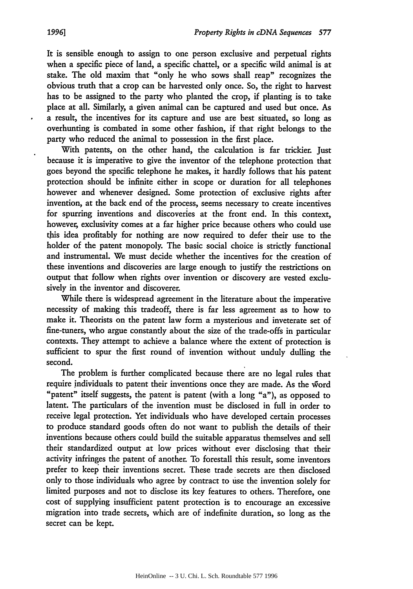It is sensible enough to assign to one person exclusive and perpetual rights when a specific piece of land, a specific chattel, or a specific wild animal is at stake. The old maxim that "only he who sows shall reap" recognizes the obvious truth that a crop can be harvested only once. So, the right to harvest has to be assigned to the party who planted the crop, if planting is to take place at all. Similarly, a given animal can be captured and used but once. As a result, the incentives for its capture and use are best situated, so long as overhunting is combated in some other fashion, if that right belongs to the party who reduced the animal to possession in the first place.

With patents, on the other hand, the calculation is far trickier. Just because it is imperative to give the inventor of the telephone protection that goes beyond the specific telephone he makes, it hardly follows that his patent protection should be infinite either in scope or duration for all telephones however and whenever designed. Some protection of exclusive rights after invention, at the back end of the process, seems necessary to create incentives for spurring inventions and discoveries at the front end. In this context, however, exclusivity comes at a far higher price because others who could use this idea profitably for nothing are now required to defer their use to the holder of the patent monopoly. The basic social choice is strictly functional and instrumental. We must decide whether the incentives for the creation of these inventions and discoveries are large enough to justify the restrictions on output that follow when rights over invention or discovery are vested exclusively in the inventor and discoverer.

While there is widespread agreement in the literature about the imperative necessity of making this tradeoff, there is far less agreement as to how to make it. Theorists on the patent law form a mysterious and inveterate set of fine-tuners, who argue constantly about the size of the trade-offs in particular contexts. They attempt to achieve a balance where the extent of protection is sufficient to spur the first round of invention without unduly dulling the second.

The problem is further complicated because there are no legal rules that require individuals to patent their inventions once they are made. As the word "patent" itself suggests, the patent is patent (with a long "a"), as opposed to latent. The particulars of the invention must be disclosed in **full** in order to receive legal protection. Yet individuals who have developed certain processes to produce standard goods often do not want to publish the details of their inventions because others could build the suitable apparatus themselves and sell their standardized output at low prices without ever disclosing that their activity infringes the patent of another. To forestall this result, some inventors prefer to keep their inventions secret. These trade secrets are then disclosed only to those individuals who agree **by** contract to use the invention solely for limited purposes and not to disclose its key features to others. Therefore, one cost of supplying insufficient patent protection is to encourage an excessive migration into trade secrets, which are of indefinite duration, so long as the secret can be kept.

 $\cdot$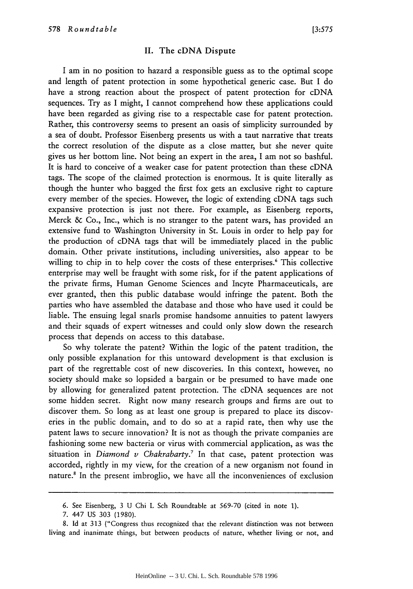#### **II.** The cDNA Dispute

I am in no position to hazard a responsible guess as to the optimal scope and length of patent protection in some hypothetical generic case. But I do have a strong reaction about the prospect of patent protection for cDNA sequences. Try as I might, I cannot comprehend how these applications could have been regarded as giving rise to a respectable case for patent protection. Rather, this controversy seems to present an oasis of simplicity surrounded by a sea of doubt. Professor Eisenberg presents us with a taut narrative that treats the correct resolution of the dispute as a close matter, but she never quite gives us her bottom line. Not being an expert in the area, I am not so bashful. It is hard to conceive of a weaker case for patent protection than these cDNA tags. The scope of the claimed protection is enormous. It is quite literally as though the hunter who bagged the first fox gets an exclusive right to capture every member of the species. However, the logic of extending cDNA tags such expansive protection is just not there. For example, as Eisenberg reports, Merck & Co., Inc., which is no stranger to the patent wars, has provided an extensive fund to Washington University in St. Louis in order to help pay for the production of cDNA tags that will be immediately placed in the public domain. Other private institutions, including universities, also appear to be willing to chip in to help cover the costs of these enterprises.<sup>6</sup> This collective enterprise may well be fraught with some risk, for if the patent applications of the private firms, Human Genome Sciences and Incyte Pharmaceuticals, are ever granted, then this public database would infringe the patent. Both the parties who have assembled the database and those who have used it could be liable. The ensuing legal snarls promise handsome annuities to patent lawyers and their squads of expert witnesses and could only slow down the research process that depends on access to this database.

So why tolerate the patent? Within the logic of the patent tradition, the only possible explanation for this untoward development is that exclusion is part of the regrettable cost of new discoveries. In this context, however, no society should make so lopsided a bargain or be presumed to have made one by allowing for generalized patent protection. The cDNA sequences are not some hidden secret. Right now many research groups and firms are out to discover them. So long as at least one group is prepared to place its discoveries in the public domain, and to do so at a rapid rate, then why use the patent laws to secure innovation? It is not as though the private companies are fashioning some new bacteria or virus with commercial application, as was the situation in *Diamond v Chakrabarty*.<sup>7</sup> In that case, patent protection was accorded, rightly in my view, for the creation of a new organism not found in nature.<sup>8</sup> In the present imbroglio, we have all the inconveniences of exclusion

<sup>6.</sup> See Eisenberg, 3 U Chi L Sch Roundtable at 569-70 (cited in note 1).

<sup>7. 447</sup> US 303 (1980).

<sup>8.</sup> Id at 313 ("Congress thus recognized that the relevant distinction was not between living and inanimate things, but between products of nature, whether living or not, and